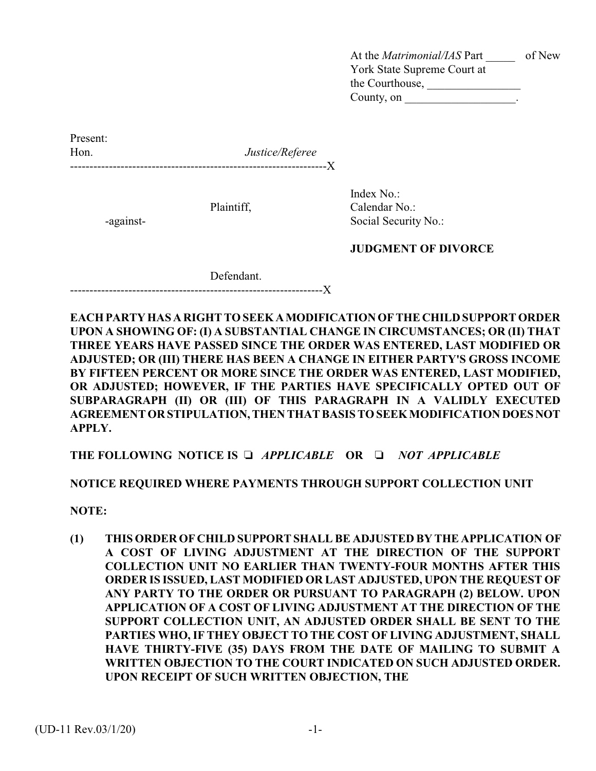At the *Matrimonial/IAS* Part \_\_\_\_\_ of New York State Supreme Court at the Courthouse, \_\_\_\_\_\_\_\_\_\_\_\_\_\_\_\_ County, on  $\_\_\_\_\_\_\_\_\$ .

Present: Hon. *Justice/Referee* ------------------------------------------------------------------X

Index No.: Plaintiff, Calendar No.: -against- Social Security No.:

**JUDGMENT OF DIVORCE**

Defendant.

-----------------------------------------------------------------X

**EACH PARTY HAS A RIGHT TO SEEK A MODIFICATION OF THE CHILD SUPPORT ORDER UPON A SHOWING OF: (I) A SUBSTANTIAL CHANGE IN CIRCUMSTANCES; OR (II) THAT THREE YEARS HAVE PASSED SINCE THE ORDER WAS ENTERED, LAST MODIFIED OR ADJUSTED; OR (III) THERE HAS BEEN A CHANGE IN EITHER PARTY'S GROSS INCOME BY FIFTEEN PERCENT OR MORE SINCE THE ORDER WAS ENTERED, LAST MODIFIED, OR ADJUSTED; HOWEVER, IF THE PARTIES HAVE SPECIFICALLY OPTED OUT OF SUBPARAGRAPH (II) OR (III) OF THIS PARAGRAPH IN A VALIDLY EXECUTED AGREEMENT OR STIPULATION, THEN THAT BASIS TO SEEK MODIFICATION DOES NOT APPLY.**

**THE FOLLOWING NOTICE IS** *APPLICABLE* **OR** *NOT APPLICABLE*

**NOTICE REQUIRED WHERE PAYMENTS THROUGH SUPPORT COLLECTION UNIT**

**NOTE:** 

**(1) THIS ORDER OF CHILD SUPPORT SHALL BE ADJUSTED BY THE APPLICATION OF A COST OF LIVING ADJUSTMENT AT THE DIRECTION OF THE SUPPORT COLLECTION UNIT NO EARLIER THAN TWENTY-FOUR MONTHS AFTER THIS ORDER IS ISSUED, LAST MODIFIED OR LAST ADJUSTED, UPON THE REQUEST OF ANY PARTY TO THE ORDER OR PURSUANT TO PARAGRAPH (2) BELOW. UPON APPLICATION OF A COST OF LIVING ADJUSTMENT AT THE DIRECTION OF THE SUPPORT COLLECTION UNIT, AN ADJUSTED ORDER SHALL BE SENT TO THE PARTIES WHO, IF THEY OBJECT TO THE COST OF LIVING ADJUSTMENT, SHALL HAVE THIRTY-FIVE (35) DAYS FROM THE DATE OF MAILING TO SUBMIT A WRITTEN OBJECTION TO THE COURT INDICATED ON SUCH ADJUSTED ORDER. UPON RECEIPT OF SUCH WRITTEN OBJECTION, THE**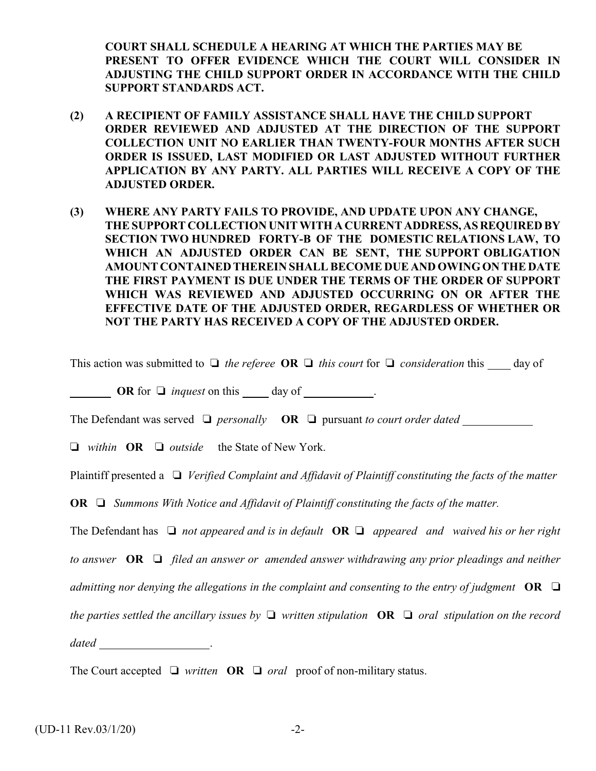**COURT SHALL SCHEDULE A HEARING AT WHICH THE PARTIES MAY BE PRESENT TO OFFER EVIDENCE WHICH THE COURT WILL CONSIDER IN ADJUSTING THE CHILD SUPPORT ORDER IN ACCORDANCE WITH THE CHILD SUPPORT STANDARDS ACT.**

- **(2) A RECIPIENT OF FAMILY ASSISTANCE SHALL HAVE THE CHILD SUPPORT ORDER REVIEWED AND ADJUSTED AT THE DIRECTION OF THE SUPPORT COLLECTION UNIT NO EARLIER THAN TWENTY-FOUR MONTHS AFTER SUCH ORDER IS ISSUED, LAST MODIFIED OR LAST ADJUSTED WITHOUT FURTHER APPLICATION BY ANY PARTY. ALL PARTIES WILL RECEIVE A COPY OF THE ADJUSTED ORDER.**
- **(3) WHERE ANY PARTY FAILS TO PROVIDE, AND UPDATE UPON ANY CHANGE, THE SUPPORT COLLECTION UNIT WITH A CURRENT ADDRESS, AS REQUIRED BY SECTION TWO HUNDRED FORTY-B OF THE DOMESTIC RELATIONS LAW, TO WHICH AN ADJUSTED ORDER CAN BE SENT, THE SUPPORT OBLIGATION AMOUNT CONTAINED THEREIN SHALL BECOME DUE AND OWING ON THE DATE THE FIRST PAYMENT IS DUE UNDER THE TERMS OF THE ORDER OF SUPPORT WHICH WAS REVIEWED AND ADJUSTED OCCURRING ON OR AFTER THE EFFECTIVE DATE OF THE ADJUSTED ORDER, REGARDLESS OF WHETHER OR NOT THE PARTY HAS RECEIVED A COPY OF THE ADJUSTED ORDER.**

This action was submitted to  $\Box$  the referee **OR**  $\Box$  this court for  $\Box$  consideration this day of

**OR** for  $\Box$  *inquest* on this day of .

The Defendant was served  $\Box$  *personally* **OR**  $\Box$  *pursuant to court order dated* 

*within* **OR**  *outside* the State of New York.

Plaintiff presented a  $\Box$  *Verified Complaint and Affidavit of Plaintiff constituting the facts of the matter* 

**OR**  *Summons With Notice and Affidavit of Plaintiff constituting the facts of the matter.*

The Defendant has  $\Box$  not appeared and is in default **OR**  $\Box$  appeared and waived his or her right

*to answer* **OR**  *filed an answer or amended answer withdrawing any prior pleadings and neither*

*admitting nor denying the allegations in the complaint and consenting to the entry of judgment*  $OR \square$ 

*the parties settled the ancillary issues by*  $\Box$  *written stipulation* **OR**  $\Box$  *oral stipulation on the record* 

*dated* .

The Court accepted  $\Box$  written **OR**  $\Box$  *oral* proof of non-military status.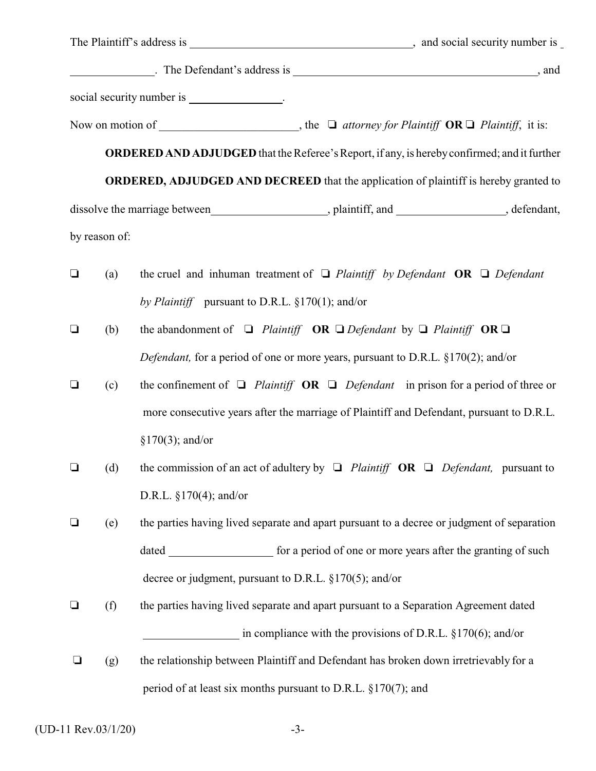|        |                                                     | social security number is _________________.                                                            |  |  |  |
|--------|-----------------------------------------------------|---------------------------------------------------------------------------------------------------------|--|--|--|
|        |                                                     | Now on motion of _______________________, the $\Box$ attorney for Plaintiff $OR \Box$ Plaintiff, it is: |  |  |  |
|        |                                                     | <b>ORDERED AND ADJUDGED</b> that the Referee's Report, if any, is hereby confirmed; and it further      |  |  |  |
|        |                                                     | <b>ORDERED, ADJUDGED AND DECREED</b> that the application of plaintiff is hereby granted to             |  |  |  |
|        |                                                     |                                                                                                         |  |  |  |
|        | by reason of:                                       |                                                                                                         |  |  |  |
| $\Box$ | (a)                                                 | the cruel and inhuman treatment of $\Box$ Plaintiff by Defendant <b>OR</b> $\Box$ Defendant             |  |  |  |
|        | by Plaintiff pursuant to D.R.L. $\S170(1)$ ; and/or |                                                                                                         |  |  |  |
| $\Box$ | (b)                                                 | the abandonment of $\Box$ Plaintiff OR $\Box$ Defendant by $\Box$ Plaintiff OR $\Box$                   |  |  |  |
|        |                                                     | Defendant, for a period of one or more years, pursuant to D.R.L. §170(2); and/or                        |  |  |  |
| $\Box$ | (c)                                                 | the confinement of $\Box$ Plaintiff <b>OR</b> $\Box$ Defendant in prison for a period of three or       |  |  |  |
|        |                                                     | more consecutive years after the marriage of Plaintiff and Defendant, pursuant to D.R.L.                |  |  |  |
|        |                                                     | $§170(3);$ and/or                                                                                       |  |  |  |
| $\Box$ | (d)                                                 | the commission of an act of adultery by $\Box$ Plaintiff OR $\Box$ Defendant, pursuant to               |  |  |  |
|        |                                                     | D.R.L. $\S170(4)$ ; and/or                                                                              |  |  |  |
| $\Box$ | (e)                                                 | the parties having lived separate and apart pursuant to a decree or judgment of separation              |  |  |  |
|        |                                                     |                                                                                                         |  |  |  |
|        |                                                     | decree or judgment, pursuant to D.R.L. $\S 170(5)$ ; and/or                                             |  |  |  |
| $\Box$ | (f)                                                 | the parties having lived separate and apart pursuant to a Separation Agreement dated                    |  |  |  |
|        |                                                     | in compliance with the provisions of D.R.L. $\S170(6)$ ; and/or                                         |  |  |  |
| ⊔      | (g)                                                 | the relationship between Plaintiff and Defendant has broken down irretrievably for a                    |  |  |  |
|        |                                                     | period of at least six months pursuant to D.R.L. $\S170(7)$ ; and                                       |  |  |  |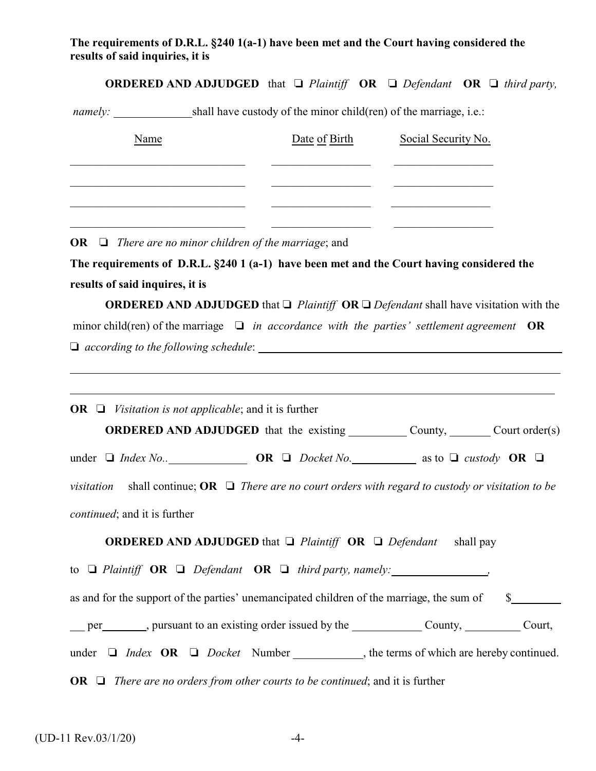## **The requirements of D.R.L. §240 1(a-1) have been met and the Court having considered the results of said inquiries, it is**

**ORDERED AND ADJUDGED** that  $\Box$  Plaintiff **OR**  $\Box$  Defendant **OR**  $\Box$  third party,

*namely:* shall have custody of the minor child(ren) of the marriage, i.e.:

| Name | Date of Birth | Social Security No. |
|------|---------------|---------------------|
|      |               |                     |
|      |               |                     |
|      |               |                     |

**OR** *There are no minor children of the marriage*; and

**The requirements of D.R.L. §240 1 (a-1) have been met and the Court having considered the results of said inquires, it is** 

**ORDERED AND ADJUDGED** that  $\Box$  *Plaintiff* **OR**  $\Box$  *Defendant* shall have visitation with the minor child(ren) of the marriage  $\Box$  in accordance with the parties' settlement agreement **OR** *according to the following schedule*:

**OR**  $\Box$  *Visitation is not applicable*; and it is further **ORDERED AND ADJUDGED** that the existing County, Count order(s) under  $\Box$  *Index No..* **OR**  $\Box$  *Docket No.* as to  $\Box$  *custody* **OR**  $\Box$ *visitation* shall continue;  $OR \square$  *There are no court orders with regard to custody or visitation to be continued*; and it is further **ORDERED AND ADJUDGED** that  $\Box$  Plaintiff **OR**  $\Box$  Defendant shall pay to  $\Box$  Plaintiff  $\overline{OR}$   $\Box$  Defendant  $\overline{OR}$   $\Box$  third party, namely: , as and for the support of the parties' unemancipated children of the marriage, the sum of  $\$$ per number of pursuant to an existing order issued by the County, County, Court, under  $\Box$  *Index* **OR**  $\Box$  *Docket* Number, the terms of which are hereby continued. **OR**  $\Box$  *There are no orders from other courts to be continued*; and it is further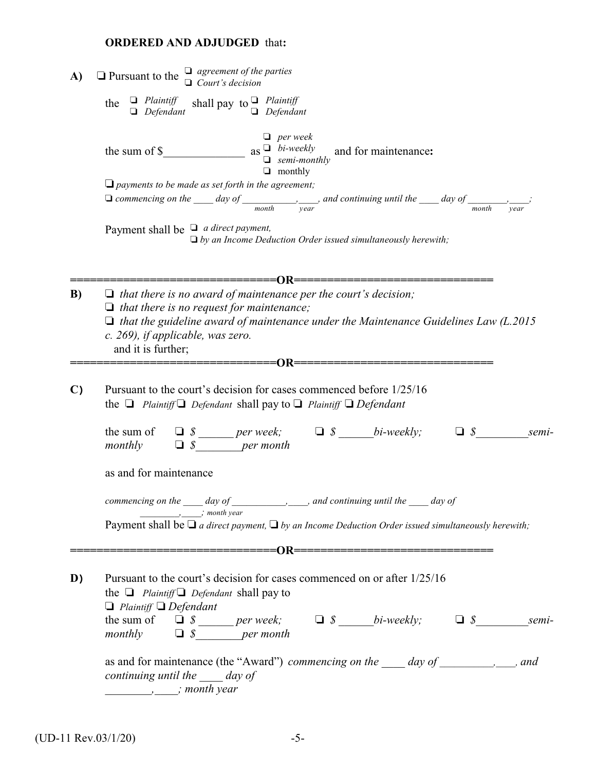# **ORDERED AND ADJUDGED** that**:**

| A)           | $\Box$ Pursuant to the $\Box$ agreement of the parties<br>$\Box$ Court's decision                                                                                                                                                                                                                                                                                                                                                                                                                                                                                                                                                                               |  |  |  |  |  |
|--------------|-----------------------------------------------------------------------------------------------------------------------------------------------------------------------------------------------------------------------------------------------------------------------------------------------------------------------------------------------------------------------------------------------------------------------------------------------------------------------------------------------------------------------------------------------------------------------------------------------------------------------------------------------------------------|--|--|--|--|--|
|              | shall pay to $\Box$ Plaintiff<br>$\Box$ Defendant<br>$\Box$ Plaintiff<br>the<br>$\Box$ Defendant                                                                                                                                                                                                                                                                                                                                                                                                                                                                                                                                                                |  |  |  |  |  |
|              | $\Box$ per week<br>$\Box$ monthly                                                                                                                                                                                                                                                                                                                                                                                                                                                                                                                                                                                                                               |  |  |  |  |  |
|              | $\Box$ payments to be made as set forth in the agreement;<br>$\Box$ commencing on the _____ day of _________________, and continuing until the _____ day of ___________;<br>year                                                                                                                                                                                                                                                                                                                                                                                                                                                                                |  |  |  |  |  |
|              | Payment shall be $\Box$ a direct payment,<br>$\Box$ by an Income Deduction Order issued simultaneously herewith;                                                                                                                                                                                                                                                                                                                                                                                                                                                                                                                                                |  |  |  |  |  |
| B)           | $\Box$ that there is no award of maintenance per the court's decision;<br>$\Box$ that there is no request for maintenance;<br>$\Box$ that the guideline award of maintenance under the Maintenance Guidelines Law (L.2015)<br>c. 269), if applicable, was zero.<br>and it is further;                                                                                                                                                                                                                                                                                                                                                                           |  |  |  |  |  |
| $\mathbf{C}$ | Pursuant to the court's decision for cases commenced before 1/25/16<br>the $\Box$ Plaintiff $\Box$ Defendant shall pay to $\Box$ Plaintiff $\Box$ Defendant<br>semi-                                                                                                                                                                                                                                                                                                                                                                                                                                                                                            |  |  |  |  |  |
|              | $\Box$ <i>S per month</i><br>monthly<br>as and for maintenance                                                                                                                                                                                                                                                                                                                                                                                                                                                                                                                                                                                                  |  |  |  |  |  |
|              | commencing on the $\_\_\_$ day of $\_\_\_$<br>$\frac{1}{2}$ , and continuing until the $\frac{1}{2}$ day of<br>$\frac{1}{\sqrt{1-\frac{1}{2}}}\frac{1}{\sqrt{1-\frac{1}{2}}}\frac{1}{\sqrt{1-\frac{1}{2}}}\frac{1}{\sqrt{1-\frac{1}{2}}}\frac{1}{\sqrt{1-\frac{1}{2}}}\frac{1}{\sqrt{1-\frac{1}{2}}}\frac{1}{\sqrt{1-\frac{1}{2}}}\frac{1}{\sqrt{1-\frac{1}{2}}}\frac{1}{\sqrt{1-\frac{1}{2}}}\frac{1}{\sqrt{1-\frac{1}{2}}}\frac{1}{\sqrt{1-\frac{1}{2}}}\frac{1}{\sqrt{1-\frac{1}{2}}}\frac{1}{\sqrt{1-\frac{1}{2}}}\frac{1}{\sqrt{1-\frac{$<br>Payment shall be $\Box$ a direct payment, $\Box$ by an Income Deduction Order issued simultaneously herewith; |  |  |  |  |  |
|              |                                                                                                                                                                                                                                                                                                                                                                                                                                                                                                                                                                                                                                                                 |  |  |  |  |  |
| D)           | Pursuant to the court's decision for cases commenced on or after 1/25/16<br>the $\Box$ Plaintiff $\Box$ Defendant shall pay to<br>$\Box$ Plaintiff $\Box$ Defendant<br>monthly $\Box$ <i>\$</i> ________ per month                                                                                                                                                                                                                                                                                                                                                                                                                                              |  |  |  |  |  |
|              | as and for maintenance (the "Award") commencing on the _____ day of _________, ___, and<br>continuing until the day of<br>$\ldots$ , $\ldots$ , month year                                                                                                                                                                                                                                                                                                                                                                                                                                                                                                      |  |  |  |  |  |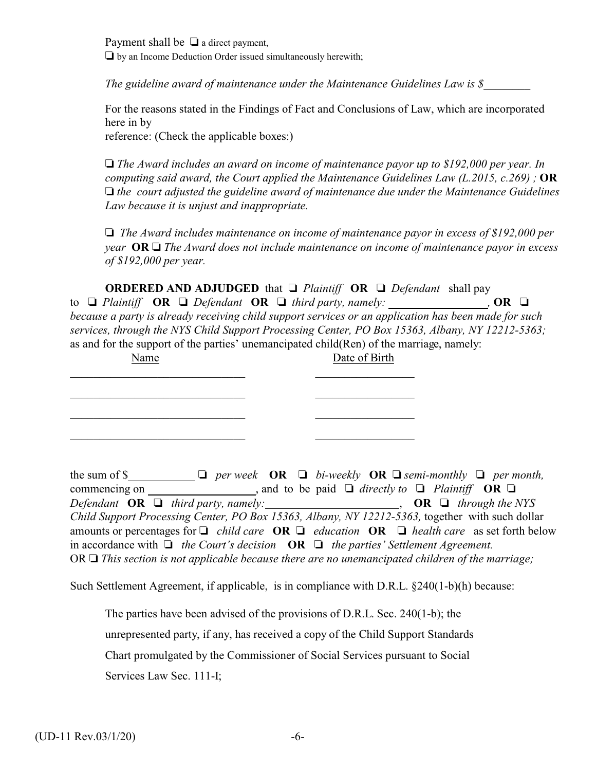Payment shall be  $\Box$  a direct payment,  $\Box$  by an Income Deduction Order issued simultaneously herewith;

*The guideline award of maintenance under the Maintenance Guidelines Law is \$\_\_\_\_\_\_\_\_*

For the reasons stated in the Findings of Fact and Conclusions of Law, which are incorporated here in by

reference: (Check the applicable boxes:)

 *The Award includes an award on income of maintenance payor up to \$192,000 per year. In computing said award, the Court applied the Maintenance Guidelines Law (L.2015, c.269) ;* **OR** *the court adjusted the guideline award of maintenance due under the Maintenance Guidelines Law because it is unjust and inappropriate.*

 *The Award includes maintenance on income of maintenance payor in excess of \$192,000 per year* **OR**  *The Award does not include maintenance on income of maintenance payor in excess of \$192,000 per year.*

**ORDERED AND ADJUDGED** that  $\Box$  *Plaintiff* **OR**  $\Box$  *Defendant* shall pay to  $\Box$  Plaintiff **OR**  $\Box$  Defendant **OR**  $\Box$  third party, namely: , **OR**  $\Box$ *because a party is already receiving child support services or an application has been made for such services, through the NYS Child Support Processing Center, PO Box 15363, Albany, NY 12212-5363;*  as and for the support of the parties' unemancipated child(Ren) of the marriage, namely:

| Name | Date of Birth |
|------|---------------|
|      |               |
|      |               |
|      |               |

the sum of \$ $\Box$  **D** *per week* **OR**  $\Box$  *bi-weekly* **OR**  $\Box$  *semi-monthly*  $\Box$  *per month,* commencing on  $\qquad \qquad$ , and to be paid  $\Box$  directly to  $\Box$  Plaintiff **OR**  $\Box$ *Defendant* **OR**  $\Box$  *third party, namely:* , **OR**  $\Box$  *through the NYS Child Support Processing Center, PO Box 15363, Albany, NY 12212-5363,* together with such dollar amounts or percentages for  $\Box$  *child care* **OR**  $\Box$  *education* **OR**  $\Box$  *health care* as set forth below in accordance with  $\Box$  the Court's decision  $\overline{OR} \Box$  the parties' Settlement Agreement. OR  $\Box$  *This section is not applicable because there are no unemancipated children of the marriage;* 

Such Settlement Agreement, if applicable, is in compliance with D.R.L. §240(1-b)(h) because:

The parties have been advised of the provisions of D.R.L. Sec. 240(1-b); the unrepresented party, if any, has received a copy of the Child Support Standards Chart promulgated by the Commissioner of Social Services pursuant to Social Services Law Sec. 111-I;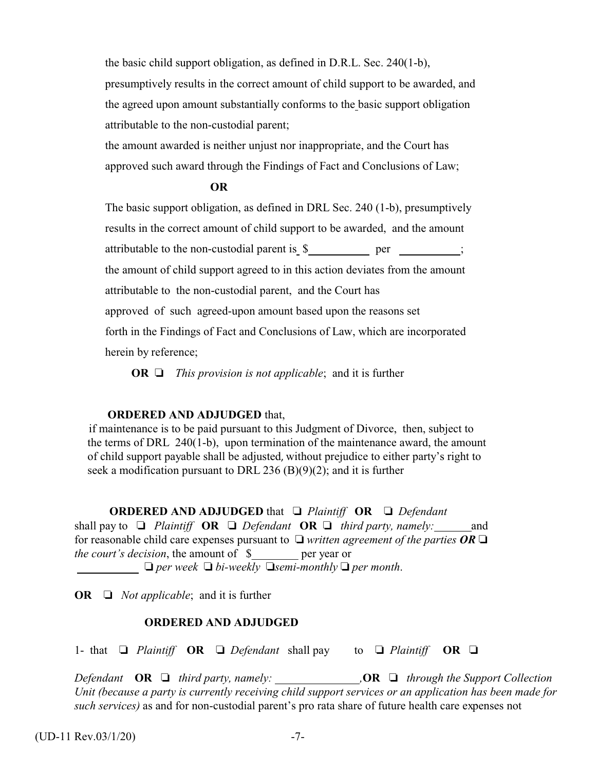the basic child support obligation, as defined in D.R.L. Sec. 240(1-b),

presumptively results in the correct amount of child support to be awarded, and the agreed upon amount substantially conforms to the basic support obligation attributable to the non-custodial parent;

the amount awarded is neither unjust nor inappropriate, and the Court has approved such award through the Findings of Fact and Conclusions of Law;

#### **OR**

The basic support obligation, as defined in DRL Sec. 240 (1-b), presumptively results in the correct amount of child support to be awarded, and the amount attributable to the non-custodial parent is  $\frac{1}{2}$  per  $\frac{1}{2}$ ; the amount of child support agreed to in this action deviates from the amount attributable to the non-custodial parent, and the Court has approved of such agreed-upon amount based upon the reasons set forth in the Findings of Fact and Conclusions of Law, which are incorporated herein by reference;

**OR**  $\Box$  *This provision is not applicable*; and it is further

### **ORDERED AND ADJUDGED** that,

 if maintenance is to be paid pursuant to this Judgment of Divorce, then, subject to the terms of DRL 240(1-b), upon termination of the maintenance award, the amount of child support payable shall be adjusted, without prejudice to either party's right to seek a modification pursuant to DRL 236 (B)(9)(2); and it is further

**ORDERED AND ADJUDGED** that  *Plaintiff* **OR**  *Defendant* shall pay to  $\Box$  Plaintiff **OR**  $\Box$  *Defendant* **OR**  $\Box$  *third party, namely:* and for reasonable child care expenses pursuant to  $\Box$  written agreement of the parties OR  $\Box$ *the court's decision*, the amount of  $\beta$  per year or

 $\Box$  per week  $\Box$  bi-weekly  $\Box$  *semi-monthly*  $\Box$  per month.

**OR**  $\Box$  *Not applicable*; and it is further

### **ORDERED AND ADJUDGED**

1- that  $\Box$  Plaintiff **OR**  $\Box$  Defendant shall pay to  $\Box$  Plaintiff **OR**  $\Box$ 

*Defendant* **OR** *third party, namely: ,***OR**  *through the Support Collection Unit (because a party is currently receiving child support services or an application has been made for such services)* as and for non-custodial parent's pro rata share of future health care expenses not

 $(UD-11 \text{ Rev.}03/1/20)$  -7-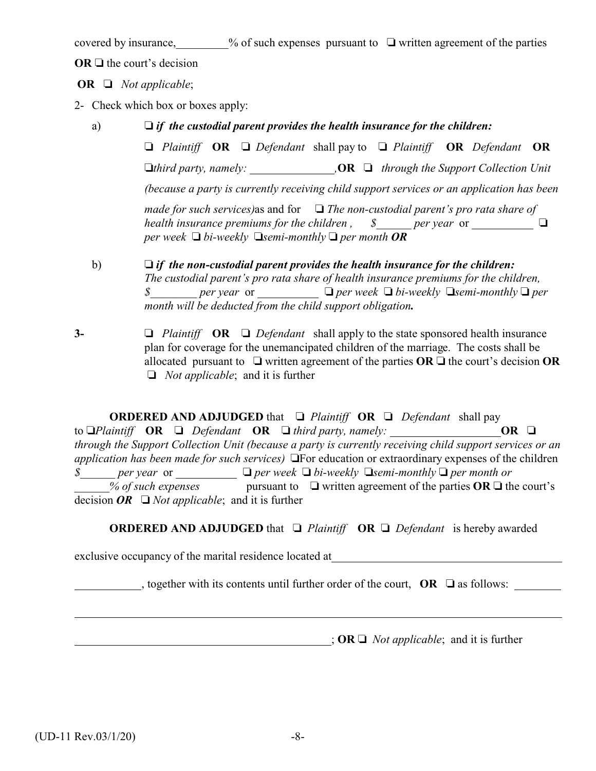covered by insurance,  $\%$  of such expenses pursuant to  $\Box$  written agreement of the parties

 $OR \square$  the court's decision

 **OR**  *Not applicable*;

- 2- Check which box or boxes apply:
	- a) *if the custodial parent provides the health insurance for the children:*

 *Plaintiff* **OR**  *Defendant* shall pay to *Plaintiff* **OR** *Defendant* **OR** *third party, namely: ,***OR**  *through the Support Collection Unit (because a party is currently receiving child support services or an application has been made for such services)*as and for  *The non-custodial parent's pro rata share of health insurance premiums for the children*,  $\delta$  *\_\_\_\_\_ per year* or \_\_\_\_\_\_\_\_\_\_ *per week*  $\Box$  *bi-weekly*  $\Box$  *semi-monthly*  $\Box$  *per month OR* 

- b) *if the non-custodial parent provides the health insurance for the children: The custodial parent's pro rata share of health insurance premiums for the children, \$ <i>per year or <i>per week Q bi-weekly**Q semi-monthly**Q per month will be deducted from the child support obligation.*
- **3-** *Plaintiff* **OR**  *Defendant* shall apply to the state sponsored health insurance plan for coverage for the unemancipated children of the marriage. The costs shall be allocated pursuant to  $\Box$  written agreement of the parties  $\overline{OR} \Box$  the court's decision  $\overline{OR}$ *Not applicable*; and it is further

**ORDERED AND ADJUDGED** that □ Plaintiff **OR** □ Defendant shall pay to  $\Box$  *Plaintiff* **OR**  $\Box$  *Defendant* **OR**  $\Box$  *third party, namely:* **OR**  $\Box$ *through the Support Collection Unit (because a party is currently receiving child support services or an application has been made for such services*) **The education or extraordinary expenses of the children** *\$ per year or*  $\Box$  *per week*  $\Box$  *bi-weekly*  $\Box$ *semi-monthly*  $\Box$  *per month or* % of such expenses pursuant to  $\Box$  written agreement of the parties **OR**  $\Box$  the court's decision  $OR \square$  *Not applicable*; and it is further

**ORDERED AND ADJUDGED** that □ Plaintiff **OR** □ Defendant is hereby awarded

exclusive occupancy of the marital residence located at

, together with its contents until further order of the court,  $\overrightarrow{OR}$   $\Box$  as follows:

 $\mathbf{R} \square$  *Not applicable*; and it is further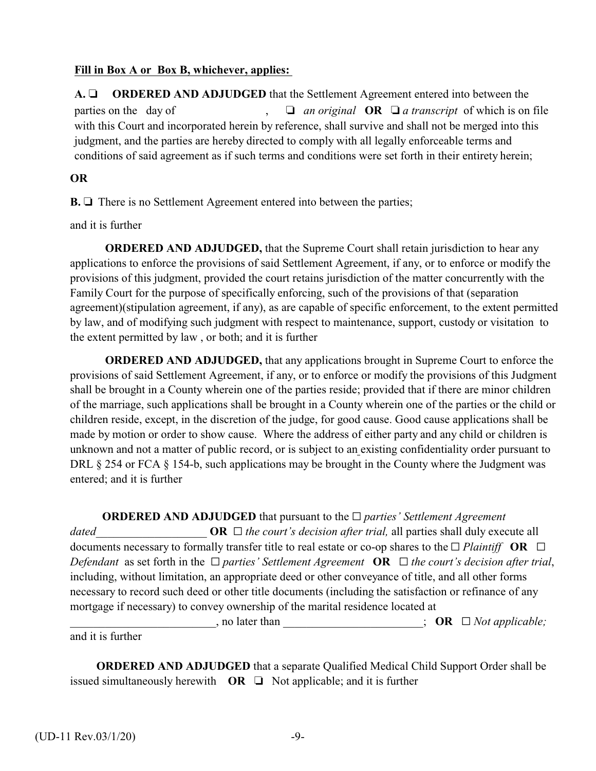## **Fill in Box A or Box B, whichever, applies:**

**A. ORDERED AND ADJUDGED** that the Settlement Agreement entered into between the parties on the day of  $\Box$  *an original* **OR**  $\Box$  *a transcript* of which is on file with this Court and incorporated herein by reference, shall survive and shall not be merged into this judgment, and the parties are hereby directed to comply with all legally enforceable terms and conditions of said agreement as if such terms and conditions were set forth in their entirety herein;

## **OR**

**B.** □ There is no Settlement Agreement entered into between the parties;

and it is further

**ORDERED AND ADJUDGED,** that the Supreme Court shall retain jurisdiction to hear any applications to enforce the provisions of said Settlement Agreement, if any, or to enforce or modify the provisions of this judgment, provided the court retains jurisdiction of the matter concurrently with the Family Court for the purpose of specifically enforcing, such of the provisions of that (separation agreement)(stipulation agreement, if any), as are capable of specific enforcement, to the extent permitted by law, and of modifying such judgment with respect to maintenance, support, custody or visitation to the extent permitted by law , or both; and it is further

**ORDERED AND ADJUDGED,** that any applications brought in Supreme Court to enforce the provisions of said Settlement Agreement, if any, or to enforce or modify the provisions of this Judgment shall be brought in a County wherein one of the parties reside; provided that if there are minor children of the marriage, such applications shall be brought in a County wherein one of the parties or the child or children reside, except, in the discretion of the judge, for good cause. Good cause applications shall be made by motion or order to show cause. Where the address of either party and any child or children is unknown and not a matter of public record, or is subject to an existing confidentiality order pursuant to DRL § 254 or FCA § 154-b, such applications may be brought in the County where the Judgment was entered; and it is further

**ORDERED AND ADJUDGED** that pursuant to the  $\Box$  *parties' Settlement Agreement dated* **OR**  $\Box$  *the court's decision after trial, all parties shall duly execute all*  $\Box$ documents necessary to formally transfer title to real estate or co-op shares to the  $\Box$  *Plaintiff* **OR**  $\Box$ *Defendant* as set forth in the  $\Box$  *parties'* Settlement Agreement **OR**  $\Box$  the court's decision after trial, including, without limitation, an appropriate deed or other conveyance of title, and all other forms necessary to record such deed or other title documents (including the satisfaction or refinance of any mortgage if necessary) to convey ownership of the marital residence located at \_\_\_\_\_\_\_\_\_\_\_\_\_\_\_\_\_\_\_\_\_\_\_\_\_, no later than \_\_\_\_\_\_\_\_\_\_\_\_\_\_\_\_\_\_\_\_\_\_\_\_; **OR** G *Not applicable;* and it is further

 **ORDERED AND ADJUDGED** that a separate Qualified Medical Child Support Order shall be issued simultaneously herewith  $OR \square$  Not applicable; and it is further